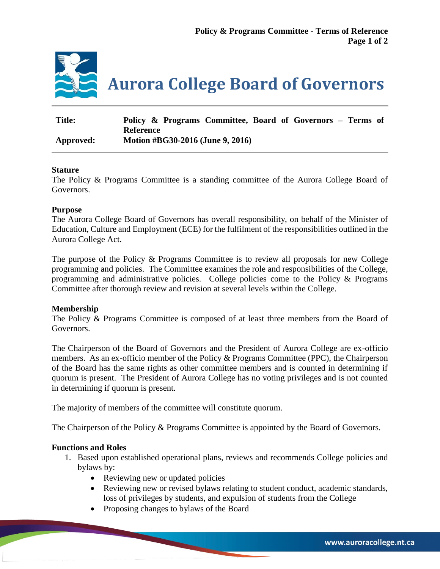

| <b>Title:</b> | Policy & Programs Committee, Board of Governors – Terms of |
|---------------|------------------------------------------------------------|
|               | Reference                                                  |
| Approved:     | Motion #BG30-2016 (June 9, 2016)                           |

# **Stature**

The Policy & Programs Committee is a standing committee of the Aurora College Board of Governors.

## **Purpose**

The Aurora College Board of Governors has overall responsibility, on behalf of the Minister of Education, Culture and Employment (ECE) for the fulfilment of the responsibilities outlined in the Aurora College Act.

The purpose of the Policy & Programs Committee is to review all proposals for new College programming and policies. The Committee examines the role and responsibilities of the College, programming and administrative policies. College policies come to the Policy & Programs Committee after thorough review and revision at several levels within the College.

# **Membership**

The Policy & Programs Committee is composed of at least three members from the Board of Governors.

The Chairperson of the Board of Governors and the President of Aurora College are ex-officio members. As an ex-officio member of the Policy & Programs Committee (PPC), the Chairperson of the Board has the same rights as other committee members and is counted in determining if quorum is present. The President of Aurora College has no voting privileges and is not counted in determining if quorum is present.

The majority of members of the committee will constitute quorum.

The Chairperson of the Policy & Programs Committee is appointed by the Board of Governors.

### **Functions and Roles**

- 1. Based upon established operational plans, reviews and recommends College policies and bylaws by:
	- Reviewing new or updated policies
	- Reviewing new or revised bylaws relating to student conduct, academic standards, loss of privileges by students, and expulsion of students from the College
	- Proposing changes to bylaws of the Board